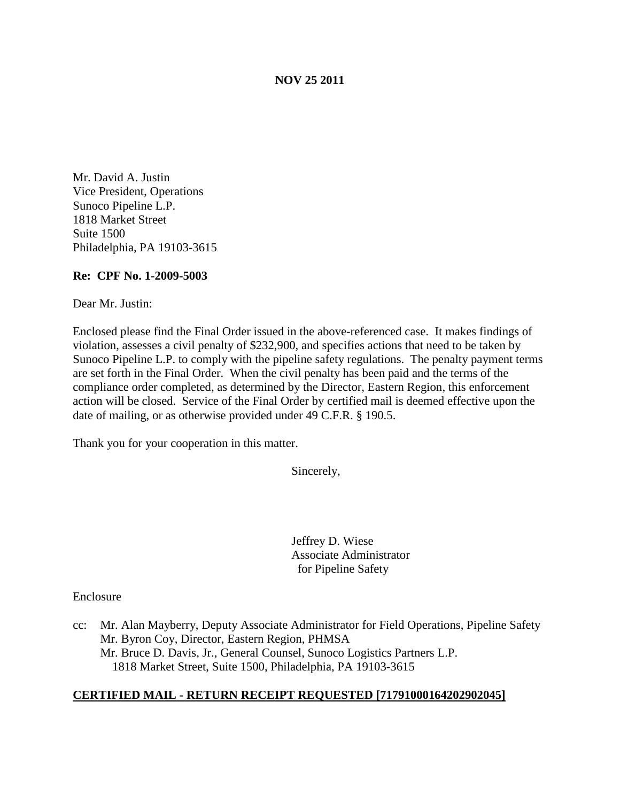#### **NOV 25 2011**

Mr. David A. Justin Vice President, Operations Sunoco Pipeline L.P. 1818 Market Street Suite 1500 Philadelphia, PA 19103-3615

#### **Re: CPF No. 1-2009-5003**

Dear Mr. Justin:

Enclosed please find the Final Order issued in the above-referenced case. It makes findings of violation, assesses a civil penalty of \$232,900, and specifies actions that need to be taken by Sunoco Pipeline L.P. to comply with the pipeline safety regulations. The penalty payment terms are set forth in the Final Order. When the civil penalty has been paid and the terms of the compliance order completed, as determined by the Director, Eastern Region, this enforcement action will be closed. Service of the Final Order by certified mail is deemed effective upon the date of mailing, or as otherwise provided under 49 C.F.R. § 190.5.

Thank you for your cooperation in this matter.

Sincerely,

Jeffrey D. Wiese Associate Administrator for Pipeline Safety

Enclosure

cc: Mr. Alan Mayberry, Deputy Associate Administrator for Field Operations, Pipeline Safety Mr. Byron Coy, Director, Eastern Region, PHMSA Mr. Bruce D. Davis, Jr., General Counsel, Sunoco Logistics Partners L.P. 1818 Market Street, Suite 1500, Philadelphia, PA 19103-3615

#### **CERTIFIED MAIL - RETURN RECEIPT REQUESTED [71791000164202902045]**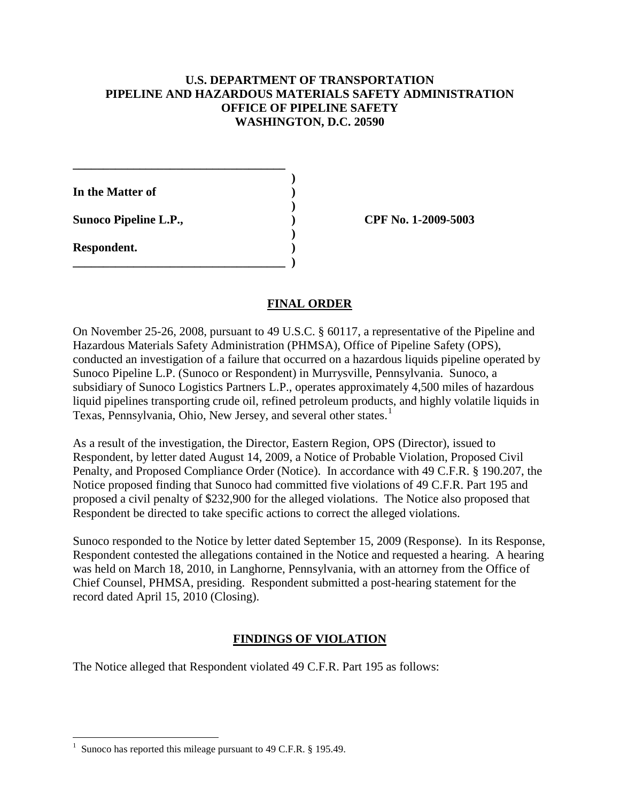### **U.S. DEPARTMENT OF TRANSPORTATION PIPELINE AND HAZARDOUS MATERIALS SAFETY ADMINISTRATION OFFICE OF PIPELINE SAFETY WASHINGTON, D.C. 20590**

**)**

**)**

**)**

**In the Matter of )**

**\_\_\_\_\_\_\_\_\_\_\_\_\_\_\_\_\_\_\_\_\_\_\_\_\_\_\_\_\_\_\_\_\_\_\_**

**\_\_\_\_\_\_\_\_\_\_\_\_\_\_\_\_\_\_\_\_\_\_\_\_\_\_\_\_\_\_\_\_\_\_\_ )**

**Sunoco Pipeline L.P., ) CPF No. 1-2009-5003**

**Respondent. )**

## **FINAL ORDER**

On November 25-26, 2008, pursuant to 49 U.S.C. § 60117, a representative of the Pipeline and Hazardous Materials Safety Administration (PHMSA), Office of Pipeline Safety (OPS), conducted an investigation of a failure that occurred on a hazardous liquids pipeline operated by Sunoco Pipeline L.P. (Sunoco or Respondent) in Murrysville, Pennsylvania. Sunoco, a subsidiary of Sunoco Logistics Partners L.P., operates approximately 4,500 miles of hazardous liquid pipelines transporting crude oil, refined petroleum products, and highly volatile liquids in Texas, Pennsylvania, Ohio, New Jersey, and several other states.<sup>[1](#page-1-0)</sup>

As a result of the investigation, the Director, Eastern Region, OPS (Director), issued to Respondent, by letter dated August 14, 2009, a Notice of Probable Violation, Proposed Civil Penalty, and Proposed Compliance Order (Notice). In accordance with 49 C.F.R. § 190.207, the Notice proposed finding that Sunoco had committed five violations of 49 C.F.R. Part 195 and proposed a civil penalty of \$232,900 for the alleged violations. The Notice also proposed that Respondent be directed to take specific actions to correct the alleged violations.

Sunoco responded to the Notice by letter dated September 15, 2009 (Response). In its Response, Respondent contested the allegations contained in the Notice and requested a hearing. A hearing was held on March 18, 2010, in Langhorne, Pennsylvania, with an attorney from the Office of Chief Counsel, PHMSA, presiding. Respondent submitted a post-hearing statement for the record dated April 15, 2010 (Closing).

# **FINDINGS OF VIOLATION**

The Notice alleged that Respondent violated 49 C.F.R. Part 195 as follows:

<span id="page-1-0"></span> $\frac{1}{1}$ Sunoco has reported this mileage pursuant to 49 C.F.R. § 195.49.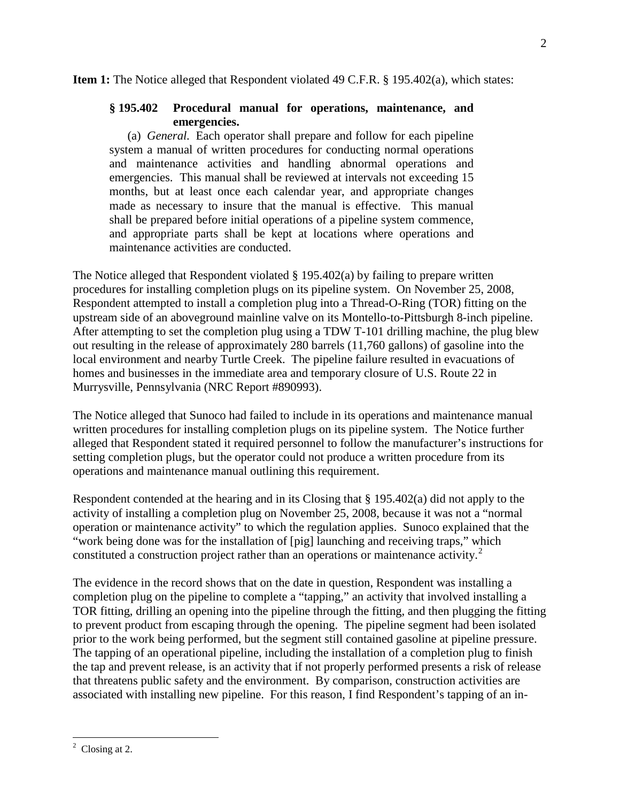#### **Item 1:** The Notice alleged that Respondent violated 49 C.F.R. § 195.402(a), which states:

#### **§ 195.402 Procedural manual for operations, maintenance, and emergencies.**

(a) *General.* Each operator shall prepare and follow for each pipeline system a manual of written procedures for conducting normal operations and maintenance activities and handling abnormal operations and emergencies. This manual shall be reviewed at intervals not exceeding 15 months, but at least once each calendar year, and appropriate changes made as necessary to insure that the manual is effective. This manual shall be prepared before initial operations of a pipeline system commence, and appropriate parts shall be kept at locations where operations and maintenance activities are conducted.

The Notice alleged that Respondent violated § 195.402(a) by failing to prepare written procedures for installing completion plugs on its pipeline system. On November 25, 2008, Respondent attempted to install a completion plug into a Thread-O-Ring (TOR) fitting on the upstream side of an aboveground mainline valve on its Montello-to-Pittsburgh 8-inch pipeline. After attempting to set the completion plug using a TDW T-101 drilling machine, the plug blew out resulting in the release of approximately 280 barrels (11,760 gallons) of gasoline into the local environment and nearby Turtle Creek. The pipeline failure resulted in evacuations of homes and businesses in the immediate area and temporary closure of U.S. Route 22 in Murrysville, Pennsylvania (NRC Report #890993).

The Notice alleged that Sunoco had failed to include in its operations and maintenance manual written procedures for installing completion plugs on its pipeline system. The Notice further alleged that Respondent stated it required personnel to follow the manufacturer's instructions for setting completion plugs, but the operator could not produce a written procedure from its operations and maintenance manual outlining this requirement.

Respondent contended at the hearing and in its Closing that § 195.402(a) did not apply to the activity of installing a completion plug on November 25, 2008, because it was not a "normal operation or maintenance activity" to which the regulation applies. Sunoco explained that the "work being done was for the installation of [pig] launching and receiving traps," which constituted a construction project rather than an operations or maintenance activity.<sup>[2](#page-2-0)</sup>

The evidence in the record shows that on the date in question, Respondent was installing a completion plug on the pipeline to complete a "tapping," an activity that involved installing a TOR fitting, drilling an opening into the pipeline through the fitting, and then plugging the fitting to prevent product from escaping through the opening. The pipeline segment had been isolated prior to the work being performed, but the segment still contained gasoline at pipeline pressure. The tapping of an operational pipeline, including the installation of a completion plug to finish the tap and prevent release, is an activity that if not properly performed presents a risk of release that threatens public safety and the environment. By comparison, construction activities are associated with installing new pipeline. For this reason, I find Respondent's tapping of an in-

 $\mathcal{D}_{\mathcal{L}}$ 

<span id="page-2-0"></span> $\frac{1}{2}$  $\degree$  Closing at 2.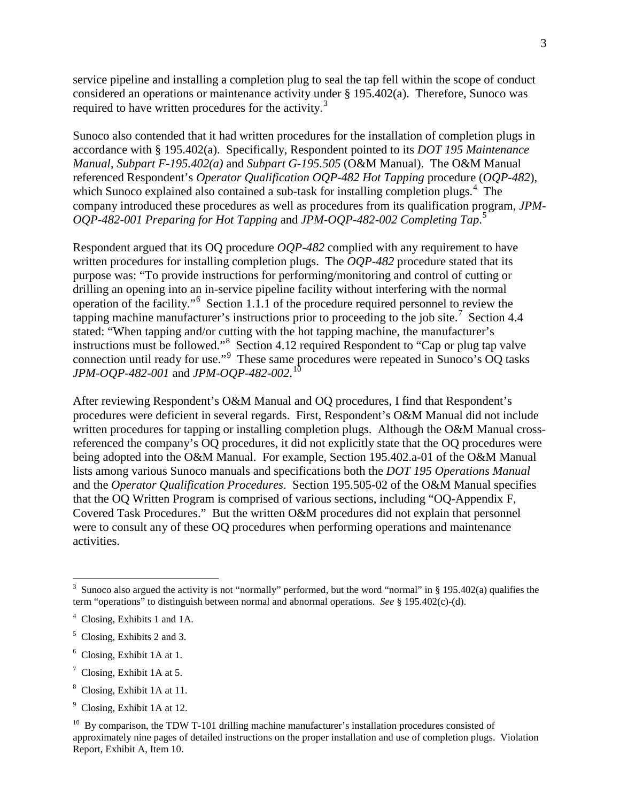service pipeline and installing a completion plug to seal the tap fell within the scope of conduct considered an operations or maintenance activity under § 195.402(a). Therefore, Sunoco was required to have written procedures for the activity.<sup>[3](#page-3-0)</sup>

Sunoco also contended that it had written procedures for the installation of completion plugs in accordance with § 195.402(a). Specifically, Respondent pointed to its *DOT 195 Maintenance Manual*, *Subpart F-195.402(a)* and *Subpart G-195.505* (O&M Manual). The O&M Manual referenced Respondent's *Operator Qualification OQP-482 Hot Tapping* procedure (*OQP-482*), which Sunoco explained also contained a sub-task for installing completion plugs.<sup>[4](#page-3-1)</sup> The company introduced these procedures as well as procedures from its qualification program, *JPM-OQP-482-001 Preparing for Hot Tapping* and *JPM-OQP-482-002 Completing Tap*. [5](#page-3-2)

Respondent argued that its OQ procedure *OQP-482* complied with any requirement to have written procedures for installing completion plugs. The *OQP-482* procedure stated that its purpose was: "To provide instructions for performing/monitoring and control of cutting or drilling an opening into an in-service pipeline facility without interfering with the normal operation of the facility."[6](#page-3-3) Section 1.1.1 of the procedure required personnel to review the tapping machine manufacturer's instructions prior to proceeding to the job site.<sup>[7](#page-3-4)</sup> Section 4.4 stated: "When tapping and/or cutting with the hot tapping machine, the manufacturer's instructions must be followed."[8](#page-3-5) Section 4.12 required Respondent to "Cap or plug tap valve connection until ready for use."<sup>[9](#page-3-6)</sup> These same procedures were repeated in Sunoco's OQ tasks *JPM-OQP-482-001* and *JPM-OQP-482-002*. [10](#page-3-7)

After reviewing Respondent's O&M Manual and OQ procedures, I find that Respondent's procedures were deficient in several regards. First, Respondent's O&M Manual did not include written procedures for tapping or installing completion plugs. Although the O&M Manual crossreferenced the company's OQ procedures, it did not explicitly state that the OQ procedures were being adopted into the O&M Manual. For example, Section 195.402.a-01 of the O&M Manual lists among various Sunoco manuals and specifications both the *DOT 195 Operations Manual* and the *Operator Qualification Procedures*. Section 195.505-02 of the O&M Manual specifies that the OQ Written Program is comprised of various sections, including "OQ-Appendix F, Covered Task Procedures." But the written O&M procedures did not explain that personnel were to consult any of these OQ procedures when performing operations and maintenance activities.

- <span id="page-3-4"></span> $7$  Closing, Exhibit 1A at 5.
- <span id="page-3-5"></span><sup>8</sup> Closing, Exhibit 1A at 11.

<span id="page-3-0"></span><sup>&</sup>lt;sup>2</sup><br>3 <sup>3</sup> Sunoco also argued the activity is not "normally" performed, but the word "normal" in § 195.402(a) qualifies the term "operations" to distinguish between normal and abnormal operations. *See* § 195.402(c)-(d).

<span id="page-3-1"></span><sup>4</sup> Closing, Exhibits 1 and 1A.

<span id="page-3-2"></span><sup>5</sup> Closing, Exhibits 2 and 3.

<span id="page-3-3"></span><sup>6</sup> Closing, Exhibit 1A at 1.

<span id="page-3-6"></span><sup>&</sup>lt;sup>9</sup> Closing, Exhibit 1A at 12.

<span id="page-3-7"></span> $10$  By comparison, the TDW T-101 drilling machine manufacturer's installation procedures consisted of approximately nine pages of detailed instructions on the proper installation and use of completion plugs. Violation Report, Exhibit A, Item 10.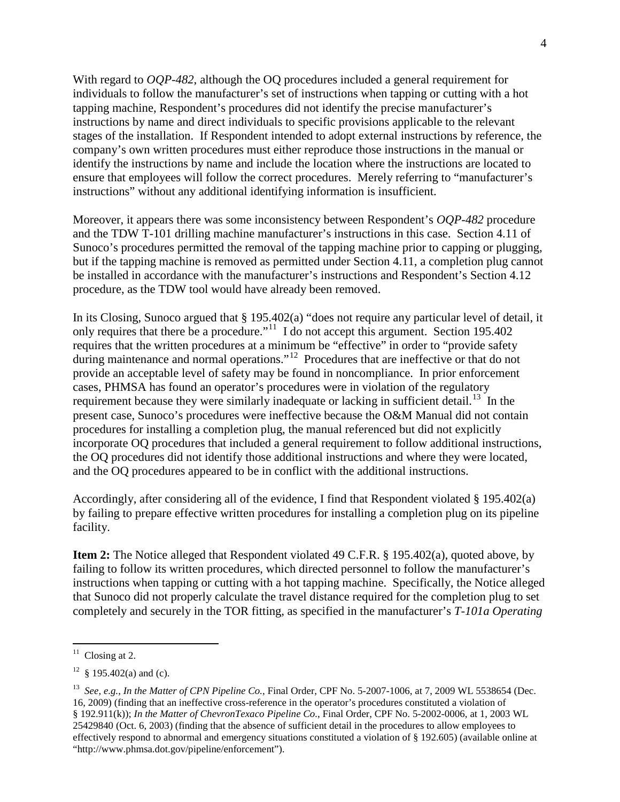With regard to *OQP-482*, although the OQ procedures included a general requirement for individuals to follow the manufacturer's set of instructions when tapping or cutting with a hot tapping machine, Respondent's procedures did not identify the precise manufacturer's instructions by name and direct individuals to specific provisions applicable to the relevant stages of the installation. If Respondent intended to adopt external instructions by reference, the company's own written procedures must either reproduce those instructions in the manual or identify the instructions by name and include the location where the instructions are located to ensure that employees will follow the correct procedures. Merely referring to "manufacturer's instructions" without any additional identifying information is insufficient.

Moreover, it appears there was some inconsistency between Respondent's *OQP-482* procedure and the TDW T-101 drilling machine manufacturer's instructions in this case. Section 4.11 of Sunoco's procedures permitted the removal of the tapping machine prior to capping or plugging, but if the tapping machine is removed as permitted under Section 4.11, a completion plug cannot be installed in accordance with the manufacturer's instructions and Respondent's Section 4.12 procedure, as the TDW tool would have already been removed.

In its Closing, Sunoco argued that § 195.402(a) "does not require any particular level of detail, it only requires that there be a procedure."<sup>11</sup> I do not accept this argument. Section 195.402 requires that the written procedures at a minimum be "effective" in order to "provide safety during maintenance and normal operations."<sup>[12](#page-4-1)</sup> Procedures that are ineffective or that do not provide an acceptable level of safety may be found in noncompliance. In prior enforcement cases, PHMSA has found an operator's procedures were in violation of the regulatory requirement because they were similarly inadequate or lacking in sufficient detail.<sup>13</sup> In the present case, Sunoco's procedures were ineffective because the O&M Manual did not contain procedures for installing a completion plug, the manual referenced but did not explicitly incorporate OQ procedures that included a general requirement to follow additional instructions, the OQ procedures did not identify those additional instructions and where they were located, and the OQ procedures appeared to be in conflict with the additional instructions.

Accordingly, after considering all of the evidence, I find that Respondent violated § 195.402(a) by failing to prepare effective written procedures for installing a completion plug on its pipeline facility.

**Item 2:** The Notice alleged that Respondent violated 49 C.F.R. § 195.402(a), quoted above, by failing to follow its written procedures, which directed personnel to follow the manufacturer's instructions when tapping or cutting with a hot tapping machine. Specifically, the Notice alleged that Sunoco did not properly calculate the travel distance required for the completion plug to set completely and securely in the TOR fitting, as specified in the manufacturer's *T-101a Operating* 

<span id="page-4-0"></span> $11$  Closing at 2.

<span id="page-4-1"></span> $12 \text{ }$  § 195.402(a) and (c).

<span id="page-4-2"></span><sup>13</sup> *See, e.g.*, *In the Matter of CPN Pipeline Co.*, Final Order, CPF No. 5-2007-1006, at 7, 2009 WL 5538654 (Dec. 16, 2009) (finding that an ineffective cross-reference in the operator's procedures constituted a violation of § 192.911(k)); *In the Matter of ChevronTexaco Pipeline Co.*, Final Order, CPF No. 5-2002-0006, at 1, 2003 WL 25429840 (Oct. 6, 2003) (finding that the absence of sufficient detail in the procedures to allow employees to effectively respond to abnormal and emergency situations constituted a violation of § 192.605) (available online at "http://www.phmsa.dot.gov/pipeline/enforcement").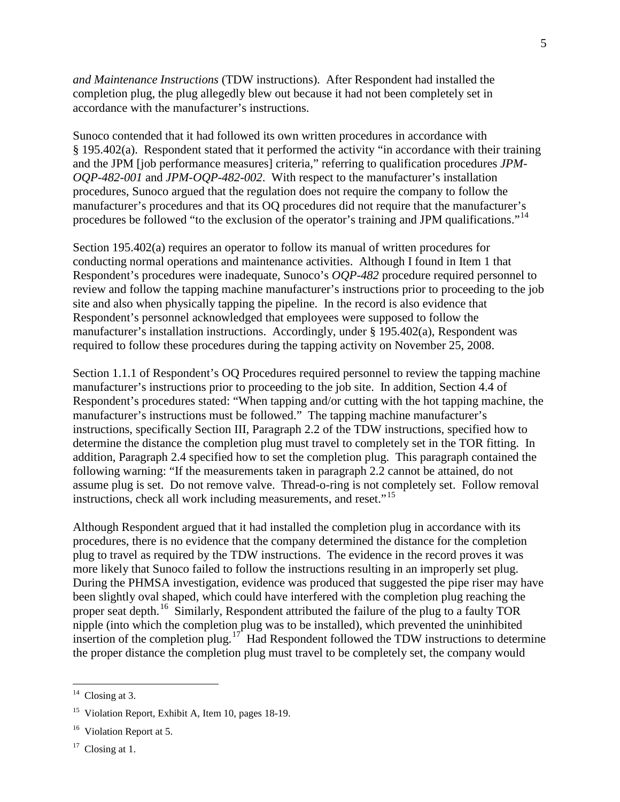*and Maintenance Instructions* (TDW instructions). After Respondent had installed the completion plug, the plug allegedly blew out because it had not been completely set in accordance with the manufacturer's instructions.

Sunoco contended that it had followed its own written procedures in accordance with § 195.402(a). Respondent stated that it performed the activity "in accordance with their training and the JPM [job performance measures] criteria," referring to qualification procedures *JPM-OQP-482-001* and *JPM-OQP-482-002*. With respect to the manufacturer's installation procedures, Sunoco argued that the regulation does not require the company to follow the manufacturer's procedures and that its OQ procedures did not require that the manufacturer's procedures be followed "to the exclusion of the operator's training and JPM qualifications."<sup>[14](#page-5-0)</sup>

Section 195.402(a) requires an operator to follow its manual of written procedures for conducting normal operations and maintenance activities. Although I found in Item 1 that Respondent's procedures were inadequate, Sunoco's *OQP-482* procedure required personnel to review and follow the tapping machine manufacturer's instructions prior to proceeding to the job site and also when physically tapping the pipeline. In the record is also evidence that Respondent's personnel acknowledged that employees were supposed to follow the manufacturer's installation instructions. Accordingly, under § 195.402(a), Respondent was required to follow these procedures during the tapping activity on November 25, 2008.

Section 1.1.1 of Respondent's OQ Procedures required personnel to review the tapping machine manufacturer's instructions prior to proceeding to the job site. In addition, Section 4.4 of Respondent's procedures stated: "When tapping and/or cutting with the hot tapping machine, the manufacturer's instructions must be followed." The tapping machine manufacturer's instructions, specifically Section III, Paragraph 2.2 of the TDW instructions, specified how to determine the distance the completion plug must travel to completely set in the TOR fitting. In addition, Paragraph 2.4 specified how to set the completion plug. This paragraph contained the following warning: "If the measurements taken in paragraph 2.2 cannot be attained, do not assume plug is set. Do not remove valve. Thread-o-ring is not completely set. Follow removal instructions, check all work including measurements, and reset."<sup>15</sup>

Although Respondent argued that it had installed the completion plug in accordance with its procedures, there is no evidence that the company determined the distance for the completion plug to travel as required by the TDW instructions. The evidence in the record proves it was more likely that Sunoco failed to follow the instructions resulting in an improperly set plug. During the PHMSA investigation, evidence was produced that suggested the pipe riser may have been slightly oval shaped, which could have interfered with the completion plug reaching the proper seat depth.<sup>[16](#page-5-2)</sup> Similarly, Respondent attributed the failure of the plug to a faulty TOR nipple (into which the completion plug was to be installed), which prevented the uninhibited insertion of the completion plug.<sup>[17](#page-5-3)</sup> Had Respondent followed the TDW instructions to determine the proper distance the completion plug must travel to be completely set, the company would

<span id="page-5-0"></span> $14$  Closing at 3.

<span id="page-5-1"></span><sup>&</sup>lt;sup>15</sup> Violation Report, Exhibit A, Item 10, pages 18-19.

<span id="page-5-2"></span><sup>&</sup>lt;sup>16</sup> Violation Report at 5.

<span id="page-5-3"></span> $17$  Closing at 1.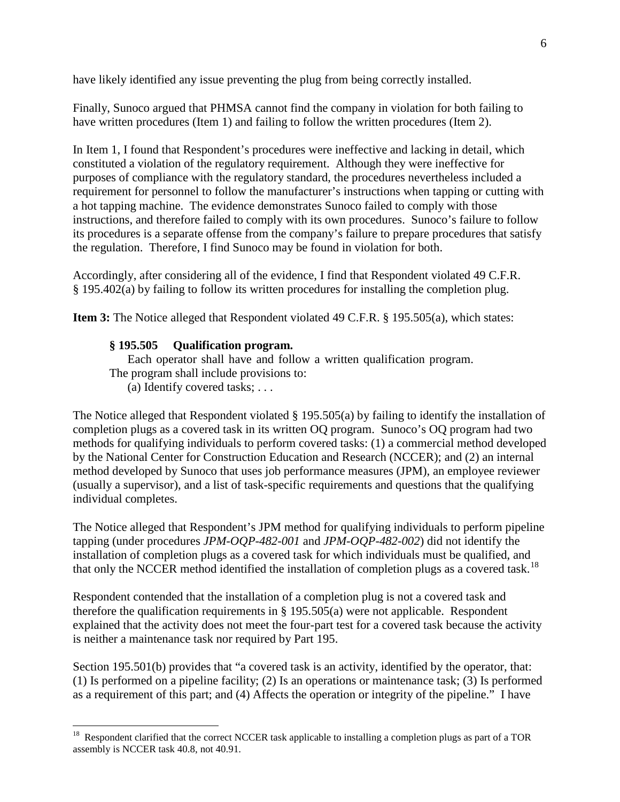have likely identified any issue preventing the plug from being correctly installed.

Finally, Sunoco argued that PHMSA cannot find the company in violation for both failing to have written procedures (Item 1) and failing to follow the written procedures (Item 2).

In Item 1, I found that Respondent's procedures were ineffective and lacking in detail, which constituted a violation of the regulatory requirement. Although they were ineffective for purposes of compliance with the regulatory standard, the procedures nevertheless included a requirement for personnel to follow the manufacturer's instructions when tapping or cutting with a hot tapping machine. The evidence demonstrates Sunoco failed to comply with those instructions, and therefore failed to comply with its own procedures. Sunoco's failure to follow its procedures is a separate offense from the company's failure to prepare procedures that satisfy the regulation. Therefore, I find Sunoco may be found in violation for both.

Accordingly, after considering all of the evidence, I find that Respondent violated 49 C.F.R. § 195.402(a) by failing to follow its written procedures for installing the completion plug.

**Item 3:** The Notice alleged that Respondent violated 49 C.F.R. § 195.505(a), which states:

#### **§ 195.505 Qualification program.**

Each operator shall have and follow a written qualification program. The program shall include provisions to:

(a) Identify covered tasks; . . .

The Notice alleged that Respondent violated § 195.505(a) by failing to identify the installation of completion plugs as a covered task in its written OQ program. Sunoco's OQ program had two methods for qualifying individuals to perform covered tasks: (1) a commercial method developed by the National Center for Construction Education and Research (NCCER); and (2) an internal method developed by Sunoco that uses job performance measures (JPM), an employee reviewer (usually a supervisor), and a list of task-specific requirements and questions that the qualifying individual completes.

The Notice alleged that Respondent's JPM method for qualifying individuals to perform pipeline tapping (under procedures *JPM-OQP-482-001* and *JPM-OQP-482-002*) did not identify the installation of completion plugs as a covered task for which individuals must be qualified, and that only the NCCER method identified the installation of completion plugs as a covered task.<sup>[18](#page-6-0)</sup>

Respondent contended that the installation of a completion plug is not a covered task and therefore the qualification requirements in  $\S$  195.505(a) were not applicable. Respondent explained that the activity does not meet the four-part test for a covered task because the activity is neither a maintenance task nor required by Part 195.

Section 195.501(b) provides that "a covered task is an activity, identified by the operator, that: (1) Is performed on a pipeline facility; (2) Is an operations or maintenance task; (3) Is performed as a requirement of this part; and (4) Affects the operation or integrity of the pipeline." I have

<span id="page-6-0"></span><sup>&</sup>lt;sup>18</sup> Respondent clarified that the correct NCCER task applicable to installing a completion plugs as part of a TOR assembly is NCCER task 40.8, not 40.91.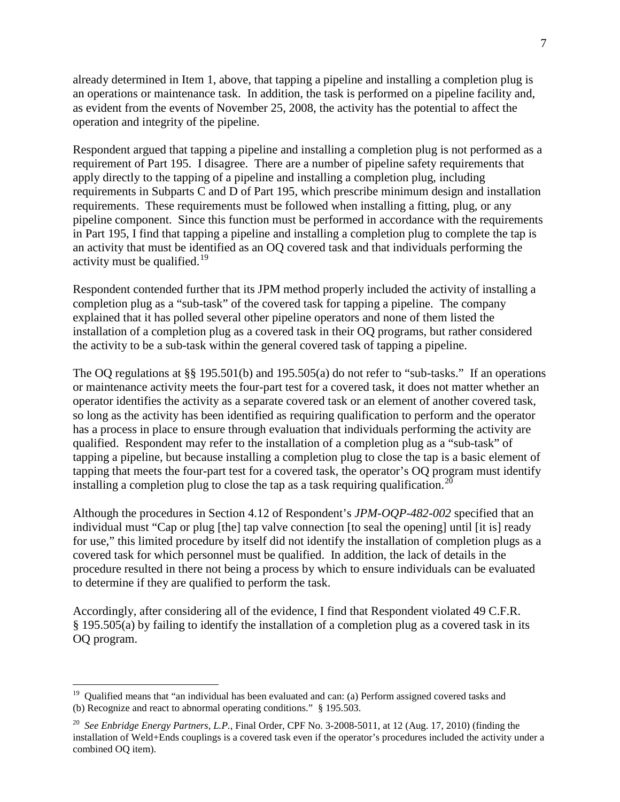already determined in Item 1, above, that tapping a pipeline and installing a completion plug is an operations or maintenance task. In addition, the task is performed on a pipeline facility and, as evident from the events of November 25, 2008, the activity has the potential to affect the operation and integrity of the pipeline.

Respondent argued that tapping a pipeline and installing a completion plug is not performed as a requirement of Part 195. I disagree. There are a number of pipeline safety requirements that apply directly to the tapping of a pipeline and installing a completion plug, including requirements in Subparts C and D of Part 195, which prescribe minimum design and installation requirements. These requirements must be followed when installing a fitting, plug, or any pipeline component. Since this function must be performed in accordance with the requirements in Part 195, I find that tapping a pipeline and installing a completion plug to complete the tap is an activity that must be identified as an OQ covered task and that individuals performing the activity must be qualified.<sup>[19](#page-7-0)</sup>

Respondent contended further that its JPM method properly included the activity of installing a completion plug as a "sub-task" of the covered task for tapping a pipeline. The company explained that it has polled several other pipeline operators and none of them listed the installation of a completion plug as a covered task in their OQ programs, but rather considered the activity to be a sub-task within the general covered task of tapping a pipeline.

The OQ regulations at §§ 195.501(b) and 195.505(a) do not refer to "sub-tasks." If an operations or maintenance activity meets the four-part test for a covered task, it does not matter whether an operator identifies the activity as a separate covered task or an element of another covered task, so long as the activity has been identified as requiring qualification to perform and the operator has a process in place to ensure through evaluation that individuals performing the activity are qualified. Respondent may refer to the installation of a completion plug as a "sub-task" of tapping a pipeline, but because installing a completion plug to close the tap is a basic element of tapping that meets the four-part test for a covered task, the operator's OQ program must identify installing a completion plug to close the tap as a task requiring qualification.<sup>[20](#page-7-1)</sup>

Although the procedures in Section 4.12 of Respondent's *JPM-OQP-482-002* specified that an individual must "Cap or plug [the] tap valve connection [to seal the opening] until [it is] ready for use," this limited procedure by itself did not identify the installation of completion plugs as a covered task for which personnel must be qualified. In addition, the lack of details in the procedure resulted in there not being a process by which to ensure individuals can be evaluated to determine if they are qualified to perform the task.

Accordingly, after considering all of the evidence, I find that Respondent violated 49 C.F.R. § 195.505(a) by failing to identify the installation of a completion plug as a covered task in its OQ program.

<span id="page-7-0"></span><sup>&</sup>lt;sup>19</sup> Qualified means that "an individual has been evaluated and can: (a) Perform assigned covered tasks and (b) Recognize and react to abnormal operating conditions." § 195.503.

<span id="page-7-1"></span><sup>20</sup> *See Enbridge Energy Partners, L.P.*, Final Order, CPF No. 3-2008-5011, at 12 (Aug. 17, 2010) (finding the installation of Weld+Ends couplings is a covered task even if the operator's procedures included the activity under a combined OQ item).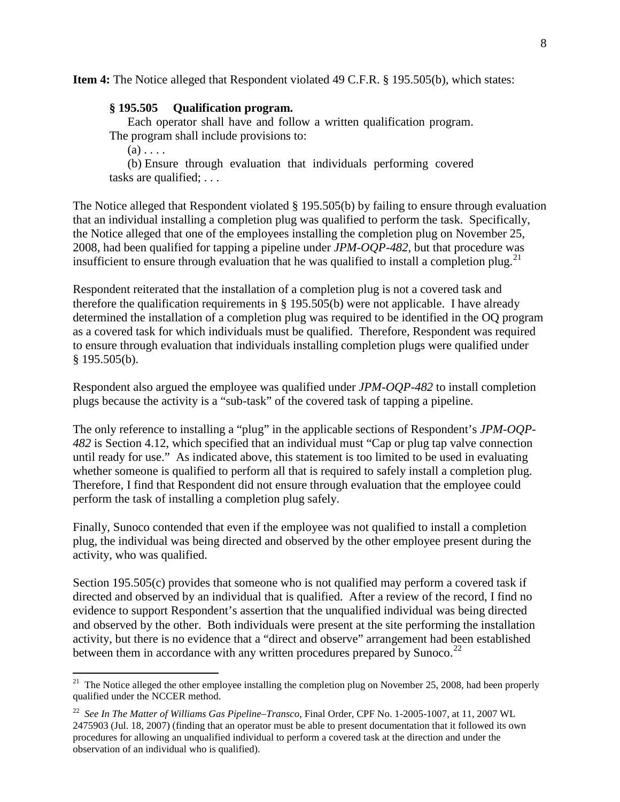**Item 4:** The Notice alleged that Respondent violated 49 C.F.R. § 195.505(b), which states:

#### **§ 195.505 Qualification program.**

Each operator shall have and follow a written qualification program. The program shall include provisions to:

 $(a)$ ...

(b) Ensure through evaluation that individuals performing covered tasks are qualified; . . .

The Notice alleged that Respondent violated § 195.505(b) by failing to ensure through evaluation that an individual installing a completion plug was qualified to perform the task. Specifically, the Notice alleged that one of the employees installing the completion plug on November 25, 2008, had been qualified for tapping a pipeline under *JPM-OQP-482*, but that procedure was insufficient to ensure through evaluation that he was qualified to install a completion plug.<sup>[21](#page-8-0)</sup>

Respondent reiterated that the installation of a completion plug is not a covered task and therefore the qualification requirements in § 195.505(b) were not applicable. I have already determined the installation of a completion plug was required to be identified in the OQ program as a covered task for which individuals must be qualified. Therefore, Respondent was required to ensure through evaluation that individuals installing completion plugs were qualified under § 195.505(b).

Respondent also argued the employee was qualified under *JPM-OQP-482* to install completion plugs because the activity is a "sub-task" of the covered task of tapping a pipeline.

The only reference to installing a "plug" in the applicable sections of Respondent's *JPM-OQP-482* is Section 4.12, which specified that an individual must "Cap or plug tap valve connection until ready for use." As indicated above, this statement is too limited to be used in evaluating whether someone is qualified to perform all that is required to safely install a completion plug. Therefore, I find that Respondent did not ensure through evaluation that the employee could perform the task of installing a completion plug safely.

Finally, Sunoco contended that even if the employee was not qualified to install a completion plug, the individual was being directed and observed by the other employee present during the activity, who was qualified.

Section 195.505(c) provides that someone who is not qualified may perform a covered task if directed and observed by an individual that is qualified. After a review of the record, I find no evidence to support Respondent's assertion that the unqualified individual was being directed and observed by the other. Both individuals were present at the site performing the installation activity, but there is no evidence that a "direct and observe" arrangement had been established between them in accordance with any written procedures prepared by Sunoco.<sup>[22](#page-8-1)</sup>

<span id="page-8-0"></span><sup>&</sup>lt;sup>21</sup> The Notice alleged the other employee installing the completion plug on November 25, 2008, had been properly qualified under the NCCER method.

<span id="page-8-1"></span><sup>22</sup> *See In The Matter of Williams Gas Pipeline–Transco*, Final Order, CPF No. 1-2005-1007, at 11, 2007 WL 2475903 (Jul. 18, 2007) (finding that an operator must be able to present documentation that it followed its own procedures for allowing an unqualified individual to perform a covered task at the direction and under the observation of an individual who is qualified).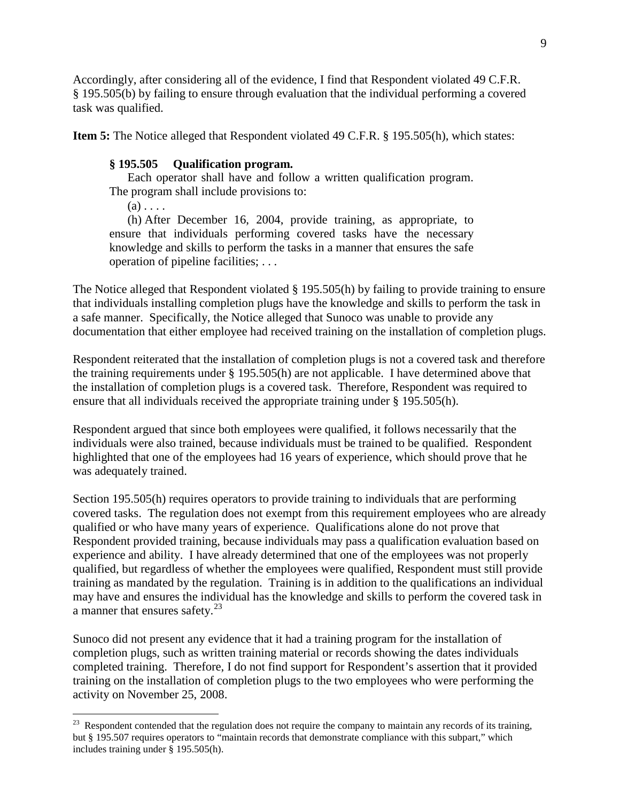Accordingly, after considering all of the evidence, I find that Respondent violated 49 C.F.R. § 195.505(b) by failing to ensure through evaluation that the individual performing a covered task was qualified.

**Item 5:** The Notice alleged that Respondent violated 49 C.F.R. § 195.505(h), which states:

### **§ 195.505 Qualification program.**

Each operator shall have and follow a written qualification program. The program shall include provisions to:

 $(a)$ ...

(h) After December 16, 2004, provide training, as appropriate, to ensure that individuals performing covered tasks have the necessary knowledge and skills to perform the tasks in a manner that ensures the safe operation of pipeline facilities; . . .

The Notice alleged that Respondent violated § 195.505(h) by failing to provide training to ensure that individuals installing completion plugs have the knowledge and skills to perform the task in a safe manner. Specifically, the Notice alleged that Sunoco was unable to provide any documentation that either employee had received training on the installation of completion plugs.

Respondent reiterated that the installation of completion plugs is not a covered task and therefore the training requirements under § 195.505(h) are not applicable. I have determined above that the installation of completion plugs is a covered task. Therefore, Respondent was required to ensure that all individuals received the appropriate training under § 195.505(h).

Respondent argued that since both employees were qualified, it follows necessarily that the individuals were also trained, because individuals must be trained to be qualified. Respondent highlighted that one of the employees had 16 years of experience, which should prove that he was adequately trained.

Section 195.505(h) requires operators to provide training to individuals that are performing covered tasks. The regulation does not exempt from this requirement employees who are already qualified or who have many years of experience. Qualifications alone do not prove that Respondent provided training, because individuals may pass a qualification evaluation based on experience and ability. I have already determined that one of the employees was not properly qualified, but regardless of whether the employees were qualified, Respondent must still provide training as mandated by the regulation. Training is in addition to the qualifications an individual may have and ensures the individual has the knowledge and skills to perform the covered task in a manner that ensures safety.<sup>23</sup>

Sunoco did not present any evidence that it had a training program for the installation of completion plugs, such as written training material or records showing the dates individuals completed training. Therefore, I do not find support for Respondent's assertion that it provided training on the installation of completion plugs to the two employees who were performing the activity on November 25, 2008.

<span id="page-9-0"></span><sup>&</sup>lt;sup>23</sup> Respondent contended that the regulation does not require the company to maintain any records of its training, but § 195.507 requires operators to "maintain records that demonstrate compliance with this subpart," which includes training under § 195.505(h).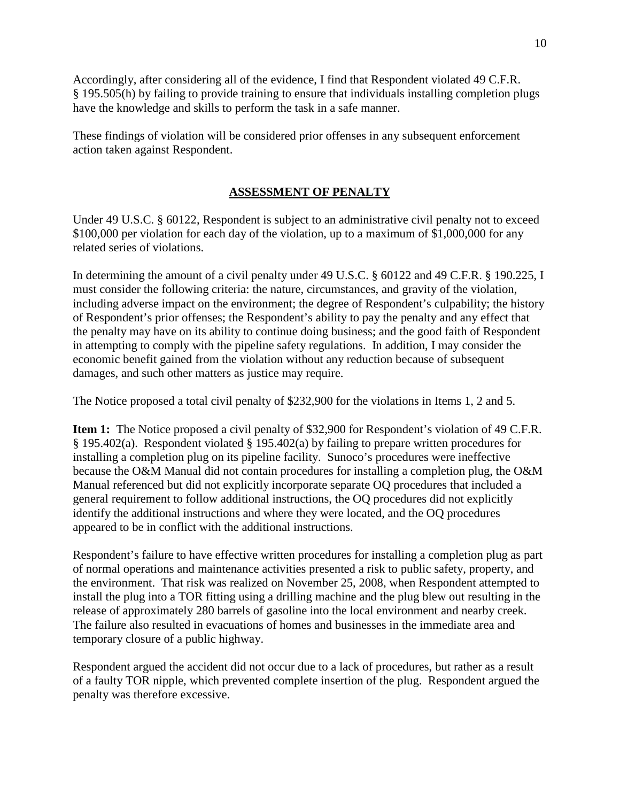Accordingly, after considering all of the evidence, I find that Respondent violated 49 C.F.R. § 195.505(h) by failing to provide training to ensure that individuals installing completion plugs have the knowledge and skills to perform the task in a safe manner.

These findings of violation will be considered prior offenses in any subsequent enforcement action taken against Respondent.

## **ASSESSMENT OF PENALTY**

Under 49 U.S.C. § 60122, Respondent is subject to an administrative civil penalty not to exceed \$100,000 per violation for each day of the violation, up to a maximum of \$1,000,000 for any related series of violations.

In determining the amount of a civil penalty under 49 U.S.C. § 60122 and 49 C.F.R. § 190.225, I must consider the following criteria: the nature, circumstances, and gravity of the violation, including adverse impact on the environment; the degree of Respondent's culpability; the history of Respondent's prior offenses; the Respondent's ability to pay the penalty and any effect that the penalty may have on its ability to continue doing business; and the good faith of Respondent in attempting to comply with the pipeline safety regulations. In addition, I may consider the economic benefit gained from the violation without any reduction because of subsequent damages, and such other matters as justice may require.

The Notice proposed a total civil penalty of \$232,900 for the violations in Items 1, 2 and 5.

**Item 1:** The Notice proposed a civil penalty of \$32,900 for Respondent's violation of 49 C.F.R. § 195.402(a). Respondent violated § 195.402(a) by failing to prepare written procedures for installing a completion plug on its pipeline facility. Sunoco's procedures were ineffective because the O&M Manual did not contain procedures for installing a completion plug, the O&M Manual referenced but did not explicitly incorporate separate OQ procedures that included a general requirement to follow additional instructions, the OQ procedures did not explicitly identify the additional instructions and where they were located, and the OQ procedures appeared to be in conflict with the additional instructions.

Respondent's failure to have effective written procedures for installing a completion plug as part of normal operations and maintenance activities presented a risk to public safety, property, and the environment. That risk was realized on November 25, 2008, when Respondent attempted to install the plug into a TOR fitting using a drilling machine and the plug blew out resulting in the release of approximately 280 barrels of gasoline into the local environment and nearby creek. The failure also resulted in evacuations of homes and businesses in the immediate area and temporary closure of a public highway.

Respondent argued the accident did not occur due to a lack of procedures, but rather as a result of a faulty TOR nipple, which prevented complete insertion of the plug. Respondent argued the penalty was therefore excessive.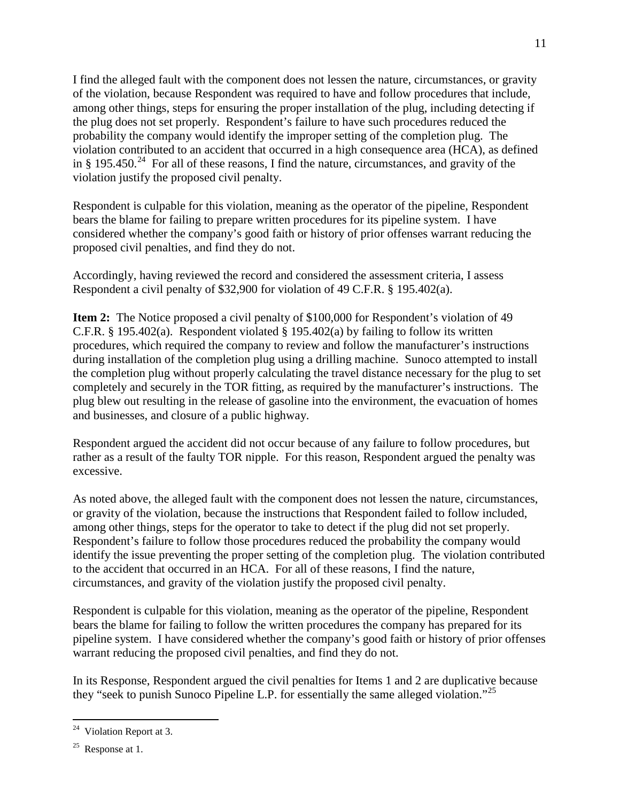I find the alleged fault with the component does not lessen the nature, circumstances, or gravity of the violation, because Respondent was required to have and follow procedures that include, among other things, steps for ensuring the proper installation of the plug, including detecting if the plug does not set properly. Respondent's failure to have such procedures reduced the probability the company would identify the improper setting of the completion plug. The violation contributed to an accident that occurred in a high consequence area (HCA), as defined in § 195.450.<sup>[24](#page-11-0)</sup> For all of these reasons, I find the nature, circumstances, and gravity of the violation justify the proposed civil penalty.

Respondent is culpable for this violation, meaning as the operator of the pipeline, Respondent bears the blame for failing to prepare written procedures for its pipeline system. I have considered whether the company's good faith or history of prior offenses warrant reducing the proposed civil penalties, and find they do not.

Accordingly, having reviewed the record and considered the assessment criteria, I assess Respondent a civil penalty of \$32,900 for violation of 49 C.F.R. § 195.402(a).

**Item 2:** The Notice proposed a civil penalty of \$100,000 for Respondent's violation of 49 C.F.R. § 195.402(a). Respondent violated § 195.402(a) by failing to follow its written procedures, which required the company to review and follow the manufacturer's instructions during installation of the completion plug using a drilling machine. Sunoco attempted to install the completion plug without properly calculating the travel distance necessary for the plug to set completely and securely in the TOR fitting, as required by the manufacturer's instructions. The plug blew out resulting in the release of gasoline into the environment, the evacuation of homes and businesses, and closure of a public highway.

Respondent argued the accident did not occur because of any failure to follow procedures, but rather as a result of the faulty TOR nipple. For this reason, Respondent argued the penalty was excessive.

As noted above, the alleged fault with the component does not lessen the nature, circumstances, or gravity of the violation, because the instructions that Respondent failed to follow included, among other things, steps for the operator to take to detect if the plug did not set properly. Respondent's failure to follow those procedures reduced the probability the company would identify the issue preventing the proper setting of the completion plug. The violation contributed to the accident that occurred in an HCA. For all of these reasons, I find the nature, circumstances, and gravity of the violation justify the proposed civil penalty.

Respondent is culpable for this violation, meaning as the operator of the pipeline, Respondent bears the blame for failing to follow the written procedures the company has prepared for its pipeline system. I have considered whether the company's good faith or history of prior offenses warrant reducing the proposed civil penalties, and find they do not.

In its Response, Respondent argued the civil penalties for Items 1 and 2 are duplicative because they "seek to punish Sunoco Pipeline L.P. for essentially the same alleged violation."<sup>[25](#page-11-1)</sup>

<span id="page-11-0"></span> $24$  Violation Report at 3.

<span id="page-11-1"></span> $25$  Response at 1.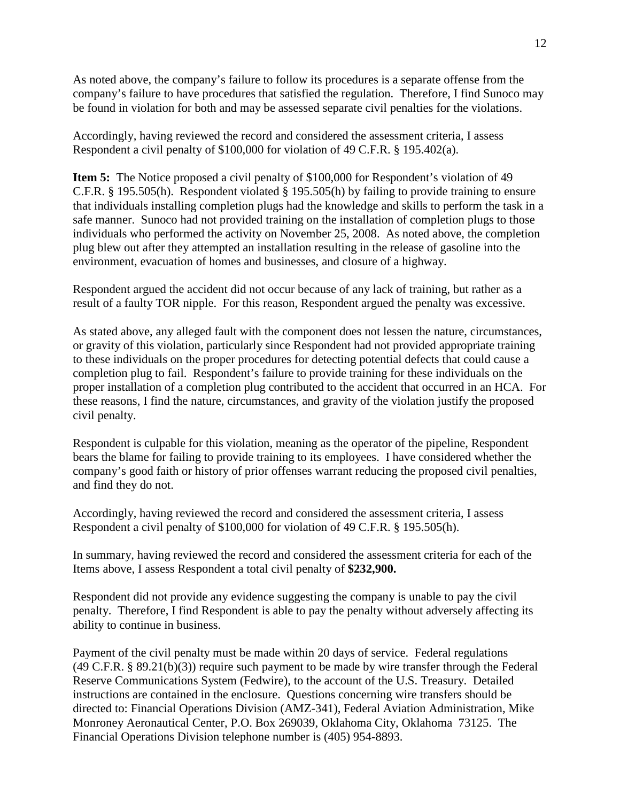As noted above, the company's failure to follow its procedures is a separate offense from the company's failure to have procedures that satisfied the regulation. Therefore, I find Sunoco may be found in violation for both and may be assessed separate civil penalties for the violations.

Accordingly, having reviewed the record and considered the assessment criteria, I assess Respondent a civil penalty of \$100,000 for violation of 49 C.F.R. § 195.402(a).

**Item 5:** The Notice proposed a civil penalty of \$100,000 for Respondent's violation of 49 C.F.R. § 195.505(h). Respondent violated § 195.505(h) by failing to provide training to ensure that individuals installing completion plugs had the knowledge and skills to perform the task in a safe manner. Sunoco had not provided training on the installation of completion plugs to those individuals who performed the activity on November 25, 2008. As noted above, the completion plug blew out after they attempted an installation resulting in the release of gasoline into the environment, evacuation of homes and businesses, and closure of a highway.

Respondent argued the accident did not occur because of any lack of training, but rather as a result of a faulty TOR nipple. For this reason, Respondent argued the penalty was excessive.

As stated above, any alleged fault with the component does not lessen the nature, circumstances, or gravity of this violation, particularly since Respondent had not provided appropriate training to these individuals on the proper procedures for detecting potential defects that could cause a completion plug to fail. Respondent's failure to provide training for these individuals on the proper installation of a completion plug contributed to the accident that occurred in an HCA. For these reasons, I find the nature, circumstances, and gravity of the violation justify the proposed civil penalty.

Respondent is culpable for this violation, meaning as the operator of the pipeline, Respondent bears the blame for failing to provide training to its employees. I have considered whether the company's good faith or history of prior offenses warrant reducing the proposed civil penalties, and find they do not.

Accordingly, having reviewed the record and considered the assessment criteria, I assess Respondent a civil penalty of \$100,000 for violation of 49 C.F.R. § 195.505(h).

In summary, having reviewed the record and considered the assessment criteria for each of the Items above, I assess Respondent a total civil penalty of **\$232,900.**

Respondent did not provide any evidence suggesting the company is unable to pay the civil penalty. Therefore, I find Respondent is able to pay the penalty without adversely affecting its ability to continue in business.

Payment of the civil penalty must be made within 20 days of service. Federal regulations (49 C.F.R. § 89.21(b)(3)) require such payment to be made by wire transfer through the Federal Reserve Communications System (Fedwire), to the account of the U.S. Treasury. Detailed instructions are contained in the enclosure. Questions concerning wire transfers should be directed to: Financial Operations Division (AMZ-341), Federal Aviation Administration, Mike Monroney Aeronautical Center, P.O. Box 269039, Oklahoma City, Oklahoma 73125. The Financial Operations Division telephone number is (405) 954-8893.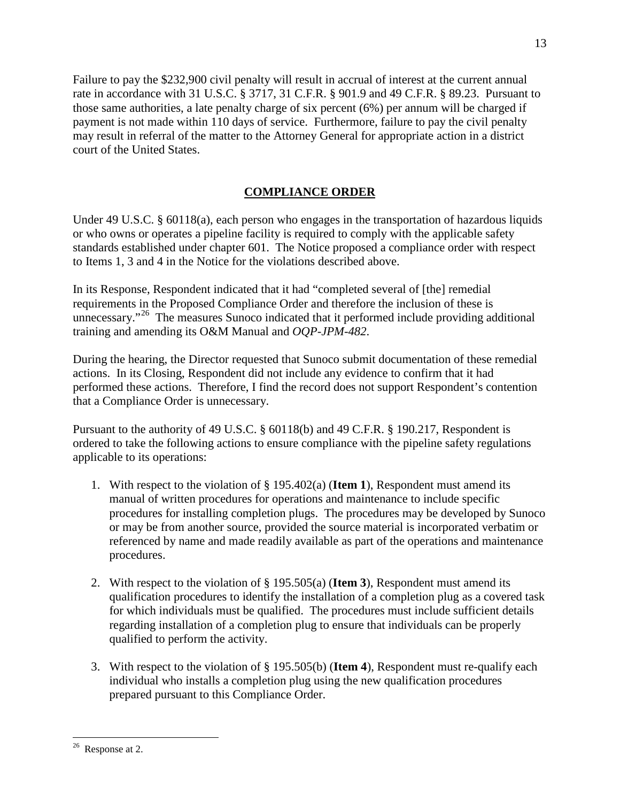Failure to pay the \$232,900 civil penalty will result in accrual of interest at the current annual rate in accordance with 31 U.S.C. § 3717, 31 C.F.R. § 901.9 and 49 C.F.R. § 89.23. Pursuant to those same authorities, a late penalty charge of six percent (6%) per annum will be charged if payment is not made within 110 days of service. Furthermore, failure to pay the civil penalty may result in referral of the matter to the Attorney General for appropriate action in a district court of the United States.

# **COMPLIANCE ORDER**

Under 49 U.S.C. § 60118(a), each person who engages in the transportation of hazardous liquids or who owns or operates a pipeline facility is required to comply with the applicable safety standards established under chapter 601. The Notice proposed a compliance order with respect to Items 1, 3 and 4 in the Notice for the violations described above.

In its Response, Respondent indicated that it had "completed several of [the] remedial requirements in the Proposed Compliance Order and therefore the inclusion of these is unnecessary."<sup>26</sup> The measures Sunoco indicated that it performed include providing additional training and amending its O&M Manual and *OQP-JPM-482*.

During the hearing, the Director requested that Sunoco submit documentation of these remedial actions. In its Closing, Respondent did not include any evidence to confirm that it had performed these actions. Therefore, I find the record does not support Respondent's contention that a Compliance Order is unnecessary.

Pursuant to the authority of 49 U.S.C. § 60118(b) and 49 C.F.R. § 190.217, Respondent is ordered to take the following actions to ensure compliance with the pipeline safety regulations applicable to its operations:

- 1. With respect to the violation of § 195.402(a) (**Item 1**), Respondent must amend its manual of written procedures for operations and maintenance to include specific procedures for installing completion plugs. The procedures may be developed by Sunoco or may be from another source, provided the source material is incorporated verbatim or referenced by name and made readily available as part of the operations and maintenance procedures.
- 2. With respect to the violation of § 195.505(a) (**Item 3**), Respondent must amend its qualification procedures to identify the installation of a completion plug as a covered task for which individuals must be qualified. The procedures must include sufficient details regarding installation of a completion plug to ensure that individuals can be properly qualified to perform the activity.
- 3. With respect to the violation of § 195.505(b) (**Item 4**), Respondent must re-qualify each individual who installs a completion plug using the new qualification procedures prepared pursuant to this Compliance Order.

<sup>13</sup>

<span id="page-13-0"></span> $26$  Response at 2.